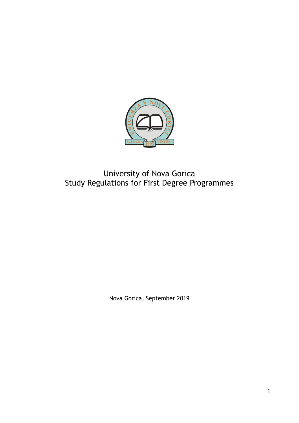

# University of Nova Gorica Study Regulations for First Degree Programmes

Nova Gorica, September 2019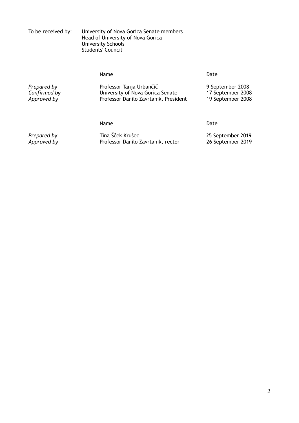| To be received by: | University of Nova Gorica Senate members<br>Head of University of Nova Gorica<br>University Schools<br>Students' Council |
|--------------------|--------------------------------------------------------------------------------------------------------------------------|
|                    |                                                                                                                          |

|                                            | Name                                                                                                  | Date                                                       |
|--------------------------------------------|-------------------------------------------------------------------------------------------------------|------------------------------------------------------------|
| Prepared by<br>Confirmed by<br>Approved by | Professor Tanja Urbančič<br>University of Nova Gorica Senate<br>Professor Danilo Zavrtanik, President | 9 September 2008<br>17 September 2008<br>19 September 2008 |
|                                            | Name                                                                                                  | Date                                                       |

Prepared by Tina Šček Krušec **2019**<br>25 September 2019 Professor Danilo Zavrtanik, rector 26 September 2019 **Professor Danilo Zavrtanik, rector**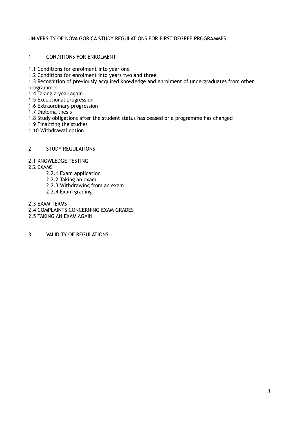## UNIVERSITY OF NOVA GORICA STUDY REGULATIONS FOR FIRST DEGREE PROGRAMMES

## 1 CONDITIONS FOR ENROLMENT

- 1.1 Conditions for enrolment into year one
- 1.2 Conditions for enrolment into years two and three
- 1.3 Recognition of previously acquired knowledge and enrolment of undergraduates from other programmes
- 1.4 Taking a year again
- 1.5 Exceptional progression
- 1.6 Extraordinary progression
- 1.7 Diploma thesis
- 1.8 Study obligations after the student status has ceased or a programme has changed
- 1.9 Finalizing the studies
- 1.10 Withdrawal option

## 2 STUDY REGULATIONS

## 2.1 KNOWLEDGE TESTING

2.2 EXAMS

- 2.2.1 Exam application
- 2.2.2 Taking an exam
- 2.2.3 Withdrawing from an exam
- 2.2.4 Exam grading
- 2.3 EXAM TERMS
- 2.4 COMPLAINTS CONCERNING EXAM GRADES
- 2.5 TAKING AN EXAM AGAIN
- 3 VALIDITY OF REGULATIONS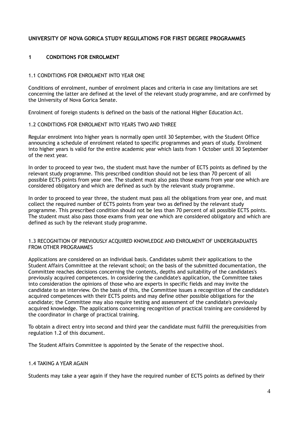# **UNIVERSITY OF NOVA GORICA STUDY REGULATIONS FOR FIRST DEGREE PROGRAMMES**

## **1 CONDITIONS FOR ENROLMENT**

#### 1.1 CONDITIONS FOR ENROLMENT INTO YEAR ONE

Conditions of enrolment, number of enrolment places and criteria in case any limitations are set concerning the latter are defined at the level of the relevant study programme, and are confirmed by the University of Nova Gorica Senate.

Enrolment of foreign students is defined on the basis of the national Higher Education Act.

## 1.2 CONDITIONS FOR ENROLMENT INTO YEARS TWO AND THREE

Regular enrolment into higher years is normally open until 30 September, with the Student Office announcing a schedule of enrolment related to specific programmes and years of study. Enrolment into higher years is valid for the entire academic year which lasts from 1 October until 30 September of the next year.

In order to proceed to year two, the student must have the number of ECTS points as defined by the relevant study programme. This prescribed condition should not be less than 70 percent of all possible ECTS points from year one. The student must also pass those exams from year one which are considered obligatory and which are defined as such by the relevant study programme.

In order to proceed to year three, the student must pass all the obligations from year one, and must collect the required number of ECTS points from year two as defined by the relevant study programme. This prescribed condition should not be less than 70 percent of all possible ECTS points. The student must also pass those exams from year one which are considered obligatory and which are defined as such by the relevant study programme.

#### 1.3 RECOGNITION OF PREVIOUSLY ACQUIRED KNOWLEDGE AND ENROLMENT OF UNDERGRADUATES FROM OTHER PROGRAMMES

Applications are considered on an individual basis. Candidates submit their applications to the Student Affairs Committee at the relevant school; on the basis of the submitted documentation, the Committee reaches decisions concerning the contents, depths and suitability of the candidates's previously acquired competences. In considering the candidate's application, the Committee takes into consideration the opinions of those who are experts in specific fields and may invite the candidate to an interview. On the basis of this, the Committee issues a recognition of the candidate's acquired competences with their ECTS points and may define other possible obligations for the candidate; the Committee may also require testing and assessment of the candidate's previously acquired knowledge. The applications concerning recognition of practical training are considered by the coordinator in charge of practical training.

To obtain a direct entry into second and third year the candidate must fulfill the prerequisities from regulation 1.2 of this document.

The Student Affairs Committee is appointed by the Senate of the respective shool.

## 1.4 TAKING A YEAR AGAIN

Students may take a year again if they have the required number of ECTS points as defined by their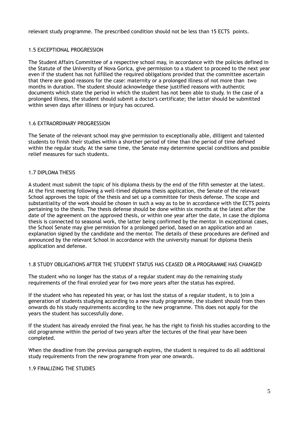relevant study programme. The prescribed condition should not be less than 15 ECTS points.

## 1.5 EXCEPTIONAL PROGRESSION

The Student Affairs Committee of a respective school may, in accordance with the policies defined in the Statute of the University of Nova Gorica, give permission to a student to proceed to the next year even if the student has not fulfilled the required obligations provided that the committee ascertain that there are good reasons for the case: maternity or a prolonged illness of not more than two months in duration. The student should acknowledge these justified reasons with authentic documents which state the period in which the student has not been able to study. In the case of a prolonged illness, the student should submit a doctor's certificate; the latter should be submitted within seven days after illlness or injury has occured.

#### 1.6 EXTRAORDINARY PROGRESSION

The Senate of the relevant school may give permission to exceptionally able, dilligent and talented students to finish their studies within a shorther period of time than the period of time defined within the regular study. At the same time, the Senate may determine special conditions and possible relief measures for such students.

## 1.7 DIPLOMA THESIS

A student must submit the topic of his diploma thesis by the end of the fifth semester at the latest. At the first meeting following a well-timed diploma thesis application, the Senate of the relevant School approves the topic of the thesis and set up a committee for thesis defense. The scope and substantiality of the work should be chosen in such a way as to be in accordance with the ECTS points pertaining to the thesis. The thesis defense should be done within six months at the latest after the date of the agreement on the approved thesis, or within one year after the date, in case the diploma thesis is connected to seasonal work, the latter being confirmed by the mentor. In exceptional cases, the School Senate may give permission for a prolonged period, based on an application and an explanation signed by the candidate and the mentor. The details of these procedures are defined and announced by the relevant School in accordance with the university manual for diploma thesis application and defense.

#### 1.8 STUDY OBLIGATIONS AFTER THE STUDENT STATUS HAS CEASED OR A PROGRAMME HAS CHANGED

The student who no longer has the status of a regular student may do the remaining study requirements of the final enroled year for two more years after the status has expired.

If the student who has repeated his year, or has lost the status of a regular student, is to join a generation of students studying according to a new study programme, the student should from then onwards do his study requirements according to the new programme. This does not apply for the years the student has successfully done.

If the student has already enroled the final year, he has the right to finish his studies according to the old programme within the period of two years after the lectures of the final year have been completed.

When the deadline from the previous paragraph expires, the student is required to do all additional study requirements from the new programme from year one onwards.

#### 1.9 FINALIZING THE STUDIES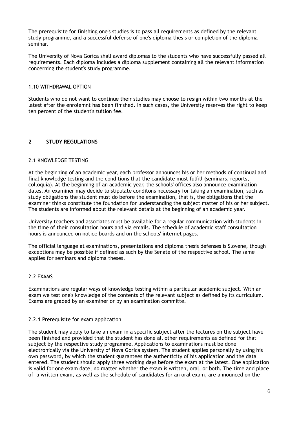The prerequisite for finishing one's studies is to pass all requirements as defined by the relevant study programme, and a successful defense of one's diploma thesis or completion of the diploma seminar.

The University of Nova Gorica shall award diplomas to the students who have successfully passed all requirements. Each diploma includes a diploma supplement containing all the relevant information concerning the student's study programme.

## 1.10 WITHDRAWAL OPTION

Students who do not want to continue their studies may choose to resign within two months at the latest after the enrolemnt has been finished. In such cases, the University reserves the right to keep ten percent of the student's tuition fee.

# **2 STUDY REGULATIONS**

## 2.1 KNOWLEDGE TESTING

At the beginning of an academic year, each professor announces his or her methods of continual and final knowledge testing and the conditions that the candidate must fulfill (seminars, reports, colloquia). At the beginning of an academic year, the schools' offices also announce examination dates. An examiner may decide to stipulate conditons necessary for taking an examination, such as study obligations the student must do before the examination, that is, the obligations that the examiner thinks constitute the foundation for understanding the subject matter of his or her subject. The students are informed about the relevant details at the beginning of an academic year.

University teachers and associates must be available for a regular communication with students in the time of their consultation hours and via emails. The schedule of academic staff consultation hours is announced on notice boards and on the schools' internet pages.

The official language at examinations, presentations and diploma thesis defenses is Slovene, though exceptions may be possible if defined as such by the Senate of the respective school. The same applies for seminars and diploma theses.

## 2.2 EXAMS

Examinations are regular ways of knowledge testing within a particular academic subject. With an exam we test one's knowledge of the contents of the relevant subject as defined by its curriculum. Exams are graded by an examiner or by an examination committe.

#### 2.2.1 Prerequisite for exam application

The student may apply to take an exam in a specific subject after the lectures on the subject have been finished and provided that the student has done all other requirements as defined for that subject by the respective study programme. Applications to examinations must be done electronically via the University of Nova Gorica system. The student applies personally by using his own password, by which the student guarantees the authenticity of his application and the data entered. The student should apply three working days before the exam at the latest. One application is valid for one exam date, no matter whether the exam is written, oral, or both. The time and place of a written exam, as well as the schedule of candidates for an oral exam, are announced on the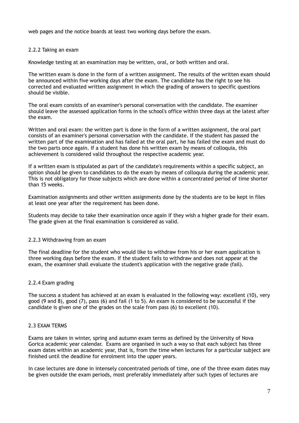web pages and the notice boards at least two working days before the exam.

## 2.2.2 Taking an exam

Knowledge testing at an examination may be written, oral, or both written and oral.

The written exam is done in the form of a written assignment. The results of the written exam should be announced within five working days after the exam. The candidate has the right to see his corrected and evaluated written assignment in which the grading of answers to specific questions should be visible.

The oral exam consists of an examiner's personal conversation with the candidate. The examiner should leave the assessed application forms in the school's office within three days at the latest after the exam.

Written and oral exam: the written part is done in the form of a written assignment, the oral part consists of an examiner's personal conversation with the candidate. If the student has passed the written part of the examination and has failed at the oral part, he has failed the exam and must do the two parts once again. If a student has done his written exam by means of colloquia, this achievement is considered valid throughout the respective academic year.

If a written exam is stipulated as part of the candidate's requirements within a specific subject, an option should be given to candidates to do the exam by means of colloquia during the academic year. This is not obligatory for those subjects which are done within a concentrated period of time shorter than 15 weeks.

Examination assignments and other written assignments done by the students are to be kept in files at least one year after the requirement has been done.

Students may decide to take their examination once again if they wish a higher grade for their exam. The grade given at the final examination is considered as valid.

## 2.2.3 Withdrawing from an exam

The final deadline for the student who would like to withdraw from his or her exam application is three working days before the exam. If the student fails to withdraw and does not appear at the exam, the examiner shall evaluate the student's application with the negative grade (fail).

## 2.2.4 Exam grading

The success a student has achieved at an exam is evaluated in the following way: excellent (10), very good (9 and 8), good (7), pass (6) and fail (1 to 5). An exam is considered to be successful if the candidate is given one of the grades on the scale from pass (6) to excellent (10).

## 2.3 EXAM TERMS

Exams are taken in winter, spring and autumn exam terms as defined by the University of Nova Gorica academic year calendar. Exams are organised in such a way so that each subject has three exam dates within an academic year, that is, from the time when lectures for a particular subject are finished until the deadline for enrolment into the upper years.

In case lectures are done in intensely concentrated periods of time, one of the three exam dates may be given outside the exam periods, most preferably immediately after such types of lectures are